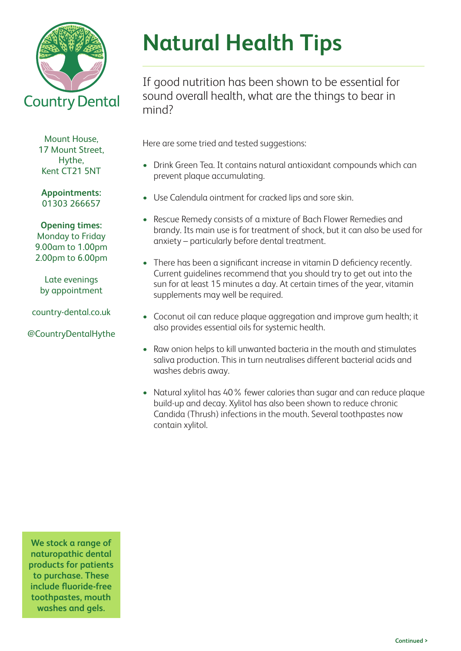

Mount House, 17 Mount Street, Hythe, Kent CT21 5NT

**Appointments:**  01303 266657

**Opening times:** Monday to Friday 9.00am to 1.00pm 2.00pm to 6.00pm

Late evenings by appointment

country-dental.co.uk

@CountryDentalHythe

## **Natural Health Tips**

If good nutrition has been shown to be essential for sound overall health, what are the things to bear in mind?

Here are some tried and tested suggestions:

- Drink Green Tea. It contains natural antioxidant compounds which can prevent plaque accumulating.
- Use Calendula ointment for cracked lips and sore skin.
- Rescue Remedy consists of a mixture of Bach Flower Remedies and brandy. Its main use is for treatment of shock, but it can also be used for anxiety – particularly before dental treatment.
- There has been a significant increase in vitamin D deficiency recently. Current guidelines recommend that you should try to get out into the sun for at least 15 minutes a day. At certain times of the year, vitamin supplements may well be required.
- Coconut oil can reduce plaque aggregation and improve gum health; it also provides essential oils for systemic health.
- Raw onion helps to kill unwanted bacteria in the mouth and stimulates saliva production. This in turn neutralises different bacterial acids and washes debris away.
- Natural xylitol has 40% fewer calories than sugar and can reduce plaque build-up and decay. Xylitol has also been shown to reduce chronic Candida (Thrush) infections in the mouth. Several toothpastes now contain xylitol.

**We stock a range of naturopathic dental products for patients to purchase. These include fluoride-free toothpastes, mouth washes and gels.**